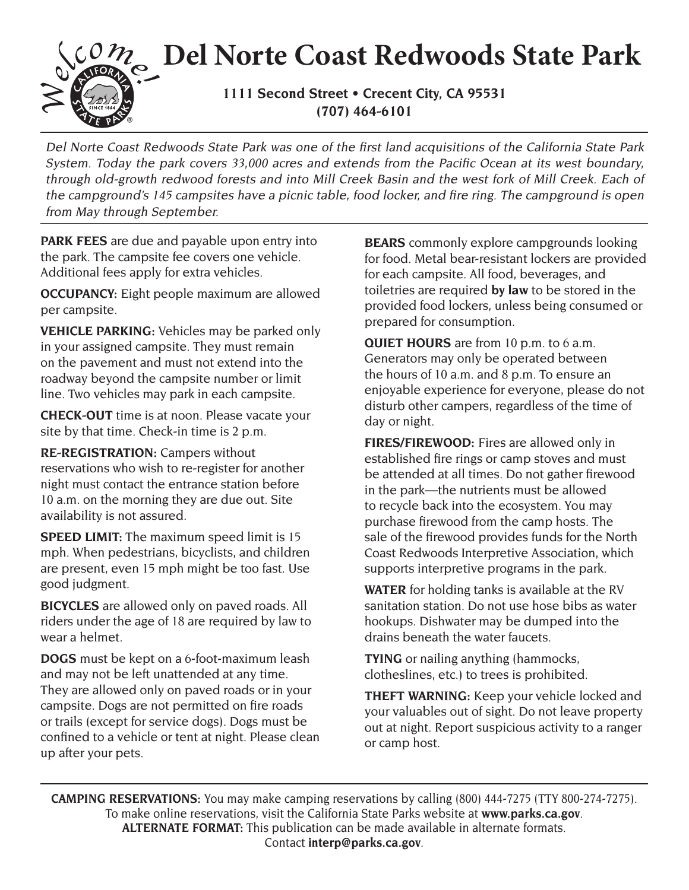## **Del Norte Coast Redwoods State Park**

**1111 Second Street • Crecent City, CA 95531 (707) 464-6101**

Del Norte Coast Redwoods State Park was one of the first land acquisitions of the California State Park System. Today the park covers 33,000 acres and extends from the Pacific Ocean at its west boundary, through old-growth redwood forests and into Mill Creek Basin and the west fork of Mill Creek. Each of the campground's 145 campsites have a picnic table, food locker, and fire ring. The campground is open from May through September.

**PARK FEES** are due and payable upon entry into the park. The campsite fee covers one vehicle. Additional fees apply for extra vehicles.

**OCCUPANCY:** Eight people maximum are allowed per campsite.

**VEHICLE PARKING:** Vehicles may be parked only in your assigned campsite. They must remain on the pavement and must not extend into the roadway beyond the campsite number or limit line. Two vehicles may park in each campsite.

**CHECK-OUT** time is at noon. Please vacate your site by that time. Check-in time is 2 p.m.

**RE-REGISTRATION:** Campers without reservations who wish to re-register for another night must contact the entrance station before 10 a.m. on the morning they are due out. Site availability is not assured.

**SPEED LIMIT:** The maximum speed limit is 15 mph. When pedestrians, bicyclists, and children are present, even 15 mph might be too fast. Use good judgment.

**BICYCLES** are allowed only on paved roads. All riders under the age of 18 are required by law to wear a helmet.

**DOGS** must be kept on a 6-foot-maximum leash and may not be left unattended at any time. They are allowed only on paved roads or in your campsite. Dogs are not permitted on fire roads or trails (except for service dogs). Dogs must be confined to a vehicle or tent at night. Please clean up after your pets.

**BEARS** commonly explore campgrounds looking for food. Metal bear-resistant lockers are provided for each campsite. All food, beverages, and toiletries are required **by law** to be stored in the provided food lockers, unless being consumed or prepared for consumption.

**QUIET HOURS** are from 10 p.m. to 6 a.m. Generators may only be operated between the hours of 10 a.m. and 8 p.m. To ensure an enjoyable experience for everyone, please do not disturb other campers, regardless of the time of day or night.

**FIRES/FIREWOOD:** Fires are allowed only in established fire rings or camp stoves and must be attended at all times. Do not gather firewood in the park—the nutrients must be allowed to recycle back into the ecosystem. You may purchase firewood from the camp hosts. The sale of the firewood provides funds for the North Coast Redwoods Interpretive Association, which supports interpretive programs in the park.

**WATER** for holding tanks is available at the RV sanitation station. Do not use hose bibs as water hookups. Dishwater may be dumped into the drains beneath the water faucets.

**TYING** or nailing anything (hammocks, clotheslines, etc.) to trees is prohibited.

**THEFT WARNING:** Keep your vehicle locked and your valuables out of sight. Do not leave property out at night. Report suspicious activity to a ranger or camp host.

**CAMPING RESERVATIONS:** You may make camping reservations by calling (800) 444-7275 (TTY 800-274-7275). To make online reservations, visit the California State Parks website at **www.parks.ca.gov**. **ALTERNATE FORMAT:** This publication can be made available in alternate formats. Contact **interp@parks.ca.gov**.